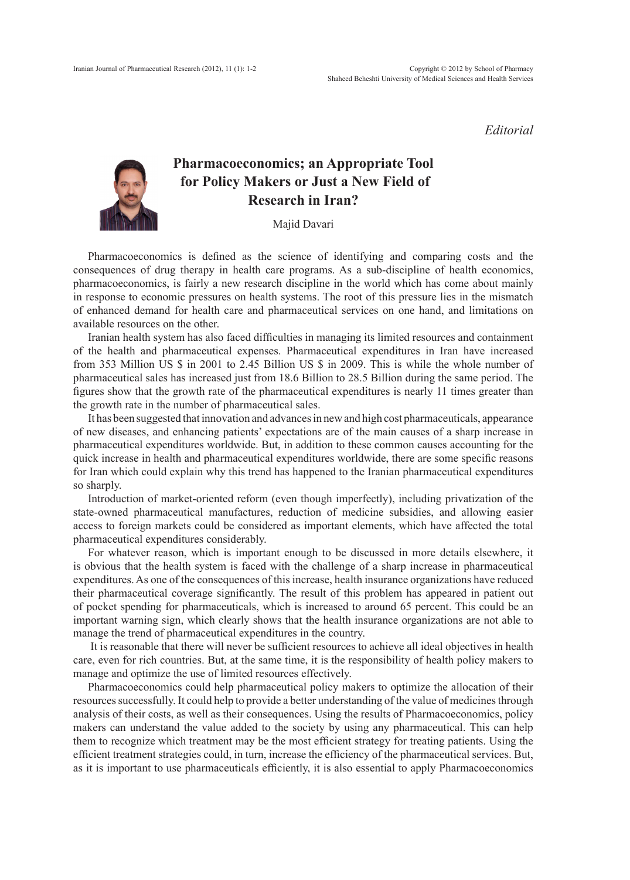*Editorial*

## **Pharmacoeconomics; an Appropriate Tool for Policy Makers or Just a New Field of Research in Iran?**

Majid Davari

Pharmacoeconomics is defined as the science of identifying and comparing costs and the consequences of drug therapy in health care programs. As a sub-discipline of health economics, pharmacoeconomics, is fairly a new research discipline in the world which has come about mainly in response to economic pressures on health systems. The root of this pressure lies in the mismatch of enhanced demand for health care and pharmaceutical services on one hand, and limitations on available resources on the other.

Iranian health system has also faced difficulties in managing its limited resources and containment of the health and pharmaceutical expenses. Pharmaceutical expenditures in Iran have increased from 353 Million US \$ in 2001 to 2.45 Billion US \$ in 2009. This is while the whole number of pharmaceutical sales has increased just from 18.6 Billion to 28.5 Billion during the same period. The figures show that the growth rate of the pharmaceutical expenditures is nearly 11 times greater than the growth rate in the number of pharmaceutical sales.

It has been suggested that innovation and advances in new and high cost pharmaceuticals, appearance of new diseases, and enhancing patients' expectations are of the main causes of a sharp increase in pharmaceutical expenditures worldwide. But, in addition to these common causes accounting for the quick increase in health and pharmaceutical expenditures worldwide, there are some specific reasons for Iran which could explain why this trend has happened to the Iranian pharmaceutical expenditures so sharply.

Introduction of market-oriented reform (even though imperfectly), including privatization of the state-owned pharmaceutical manufactures, reduction of medicine subsidies, and allowing easier access to foreign markets could be considered as important elements, which have affected the total pharmaceutical expenditures considerably.

For whatever reason, which is important enough to be discussed in more details elsewhere, it is obvious that the health system is faced with the challenge of a sharp increase in pharmaceutical expenditures. As one of the consequences of this increase, health insurance organizations have reduced their pharmaceutical coverage significantly. The result of this problem has appeared in patient out of pocket spending for pharmaceuticals, which is increased to around 65 percent. This could be an important warning sign, which clearly shows that the health insurance organizations are not able to manage the trend of pharmaceutical expenditures in the country.

 It is reasonable that there will never be sufficient resources to achieve all ideal objectives in health care, even for rich countries. But, at the same time, it is the responsibility of health policy makers to manage and optimize the use of limited resources effectively.

Pharmacoeconomics could help pharmaceutical policy makers to optimize the allocation of their resources successfully. It could help to provide a better understanding of the value of medicines through analysis of their costs, as well as their consequences. Using the results of Pharmacoeconomics, policy makers can understand the value added to the society by using any pharmaceutical. This can help them to recognize which treatment may be the most efficient strategy for treating patients. Using the efficient treatment strategies could, in turn, increase the efficiency of the pharmaceutical services. But, as it is important to use pharmaceuticals efficiently, it is also essential to apply Pharmacoeconomics